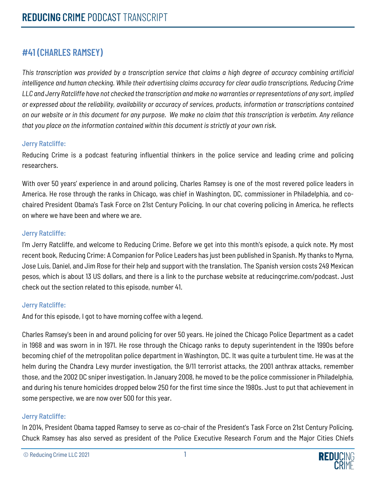# **#41 (CHARLES RAMSEY)**

*This transcription was provided by a transcription service that claims a high degree of accuracy combining artificial intelligence and human checking. While their advertising claims accuracy for clear audio transcriptions, Reducing Crime LLC and Jerry Ratcliffe have not checked the transcription and make no warranties or representations of any sort, implied or expressed about the reliability, availability or accuracy of services, products, information or transcriptions contained on our website or in this document for any purpose. We make no claim that this transcription is verbatim. Any reliance that you place on the information contained within this document is strictly at your own risk.*

## Jerry Ratcliffe:

Reducing Crime is a podcast featuring influential thinkers in the police service and leading crime and policing researchers.

With over 50 years' experience in and around policing, Charles Ramsey is one of the most revered police leaders in America. He rose through the ranks in Chicago, was chief in Washington, DC, commissioner in Philadelphia, and cochaired President Obama's Task Force on 21st Century Policing. In our chat covering policing in America, he reflects on where we have been and where we are.

# Jerry Ratcliffe:

I'm Jerry Ratcliffe, and welcome to Reducing Crime. Before we get into this month's episode, a quick note. My most recent book, Reducing Crime: A Companion for Police Leaders has just been published in Spanish. My thanks to Myrna, Jose Luis, Daniel, and Jim Rose for their help and support with the translation. The Spanish version costs 249 Mexican pesos, which is about 13 US dollars, and there is a link to the purchase website at reducingcrime.com/podcast. Just check out the section related to this episode, number 41.

#### Jerry Ratcliffe:

And for this episode, I got to have morning coffee with a legend.

Charles Ramsey's been in and around policing for over 50 years. He joined the Chicago Police Department as a cadet in 1968 and was sworn in in 1971. He rose through the Chicago ranks to deputy superintendent in the 1990s before becoming chief of the metropolitan police department in Washington, DC. It was quite a turbulent time. He was at the helm during the Chandra Levy murder investigation, the 9/11 terrorist attacks, the 2001 anthrax attacks, remember those, and the 2002 DC sniper investigation. In January 2008, he moved to be the police commissioner in Philadelphia, and during his tenure homicides dropped below 250 for the first time since the 1980s. Just to put that achievement in some perspective, we are now over 500 for this year.

#### Jerry Ratcliffe:

In 2014, President Obama tapped Ramsey to serve as co-chair of the President's Task Force on 21st Century Policing. Chuck Ramsey has also served as president of the Police Executive Research Forum and the Major Cities Chiefs

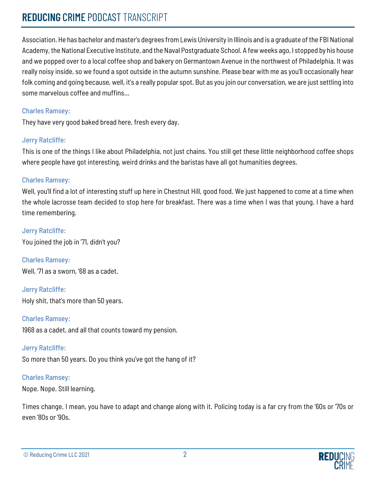Association. He has bachelor and master's degrees from Lewis University in Illinois and is a graduate of the FBI National Academy, the National Executive Institute, and the Naval Postgraduate School. A few weeks ago, I stopped by his house and we popped over to a local coffee shop and bakery on Germantown Avenue in the northwest of Philadelphia. It was really noisy inside, so we found a spot outside in the autumn sunshine. Please bear with me as you'll occasionally hear folk coming and going because, well, it's a really popular spot. But as you join our conversation, we are just settling into some marvelous coffee and muffins...

# Charles Ramsey:

They have very good baked bread here, fresh every day.

# Jerry Ratcliffe:

This is one of the things I like about Philadelphia, not just chains. You still get these little neighborhood coffee shops where people have got interesting, weird drinks and the baristas have all got humanities degrees.

# Charles Ramsey:

Well, you'll find a lot of interesting stuff up here in Chestnut Hill, good food. We just happened to come at a time when the whole lacrosse team decided to stop here for breakfast. There was a time when I was that young. I have a hard time remembering.

Jerry Ratcliffe: You joined the job in '71, didn't you?

Charles Ramsey: Well, '71 as a sworn, '68 as a cadet.

Jerry Ratcliffe: Holy shit, that's more than 50 years.

Charles Ramsey:

1968 as a cadet, and all that counts toward my pension.

# Jerry Ratcliffe:

So more than 50 years. Do you think you've got the hang of it?

# Charles Ramsey:

Nope. Nope. Still learning.

Times change. I mean, you have to adapt and change along with it. Policing today is a far cry from the '60s or '70s or even '80s or '90s.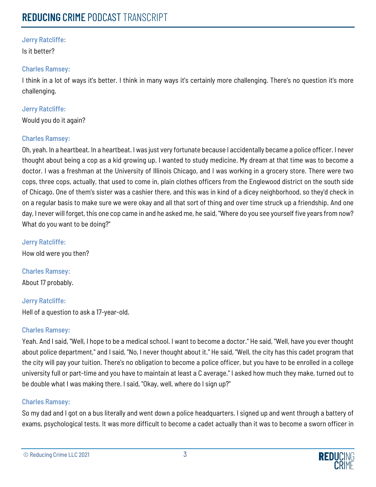Is it better?

## Charles Ramsey:

I think in a lot of ways it's better. I think in many ways it's certainly more challenging. There's no question it's more challenging.

# Jerry Ratcliffe:

Would you do it again?

# Charles Ramsey:

Oh, yeah. In a heartbeat. In a heartbeat. I was just very fortunate because I accidentally became a police officer. I never thought about being a cop as a kid growing up. I wanted to study medicine. My dream at that time was to become a doctor. I was a freshman at the University of Illinois Chicago, and I was working in a grocery store. There were two cops, three cops, actually, that used to come in, plain clothes officers from the Englewood district on the south side of Chicago. One of them's sister was a cashier there, and this was in kind of a dicey neighborhood, so they'd check in on a regular basis to make sure we were okay and all that sort of thing and over time struck up a friendship. And one day, I never will forget, this one cop came in and he asked me, he said, "Where do you see yourself five years from now? What do you want to be doing?"

Jerry Ratcliffe: How old were you then?

Charles Ramsey: About 17 probably.

Jerry Ratcliffe: Hell of a question to ask a 17-year-old.

# Charles Ramsey:

Yeah. And I said, "Well, I hope to be a medical school. I want to become a doctor." He said, "Well, have you ever thought about police department," and I said, "No, I never thought about it." He said, "Well, the city has this cadet program that the city will pay your tuition. There's no obligation to become a police officer, but you have to be enrolled in a college university full or part-time and you have to maintain at least a C average." I asked how much they make, turned out to be double what I was making there. I said, "Okay, well, where do I sign up?"

# Charles Ramsey:

So my dad and I got on a bus literally and went down a police headquarters. I signed up and went through a battery of exams, psychological tests. It was more difficult to become a cadet actually than it was to become a sworn officer in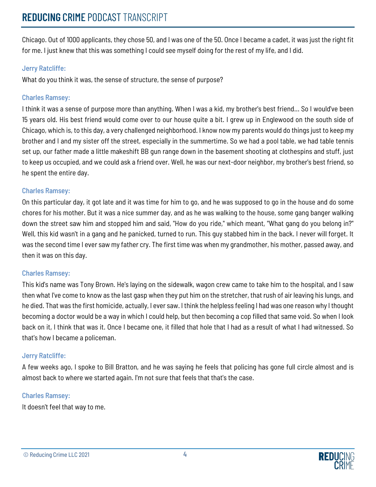Chicago. Out of 1000 applicants, they chose 50, and I was one of the 50. Once I became a cadet, it was just the right fit for me. I just knew that this was something I could see myself doing for the rest of my life, and I did.

# Jerry Ratcliffe:

What do you think it was, the sense of structure, the sense of purpose?

# Charles Ramsey:

I think it was a sense of purpose more than anything. When I was a kid, my brother's best friend... So I would've been 15 years old. His best friend would come over to our house quite a bit. I grew up in Englewood on the south side of Chicago, which is, to this day, a very challenged neighborhood. I know now my parents would do things just to keep my brother and I and my sister off the street, especially in the summertime. So we had a pool table, we had table tennis set up, our father made a little makeshift BB gun range down in the basement shooting at clothespins and stuff, just to keep us occupied, and we could ask a friend over. Well, he was our next-door neighbor, my brother's best friend, so he spent the entire day.

# Charles Ramsey:

On this particular day, it got late and it was time for him to go, and he was supposed to go in the house and do some chores for his mother. But it was a nice summer day, and as he was walking to the house, some gang banger walking down the street saw him and stopped him and said, "How do you ride," which meant, "What gang do you belong in?" Well, this kid wasn't in a gang and he panicked, turned to run. This guy stabbed him in the back. I never will forget. It was the second time I ever saw my father cry. The first time was when my grandmother, his mother, passed away, and then it was on this day.

# Charles Ramsey:

This kid's name was Tony Brown. He's laying on the sidewalk, wagon crew came to take him to the hospital, and I saw then what I've come to know as the last gasp when they put him on the stretcher, that rush of air leaving his lungs, and he died. That was the first homicide, actually, I ever saw. I think the helpless feeling I had was one reason why I thought becoming a doctor would be a way in which I could help, but then becoming a cop filled that same void. So when I look back on it, I think that was it. Once I became one, it filled that hole that I had as a result of what I had witnessed. So that's how I became a policeman.

# Jerry Ratcliffe:

A few weeks ago, I spoke to Bill Bratton, and he was saying he feels that policing has gone full circle almost and is almost back to where we started again. I'm not sure that feels that that's the case.

# Charles Ramsey:

It doesn't feel that way to me.

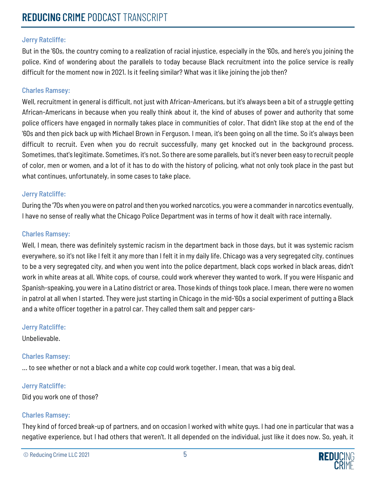But in the '60s, the country coming to a realization of racial injustice, especially in the '60s, and here's you joining the police. Kind of wondering about the parallels to today because Black recruitment into the police service is really difficult for the moment now in 2021. Is it feeling similar? What was it like joining the job then?

#### Charles Ramsey:

Well, recruitment in general is difficult, not just with African-Americans, but it's always been a bit of a struggle getting African-Americans in because when you really think about it, the kind of abuses of power and authority that some police officers have engaged in normally takes place in communities of color. That didn't like stop at the end of the '60s and then pick back up with Michael Brown in Ferguson. I mean, it's been going on all the time. So it's always been difficult to recruit. Even when you do recruit successfully, many get knocked out in the background process. Sometimes, that's legitimate. Sometimes, it's not. So there are some parallels, but it's never been easy to recruit people of color, men or women, and a lot of it has to do with the history of policing, what not only took place in the past but what continues, unfortunately, in some cases to take place.

#### Jerry Ratcliffe:

During the '70s when you were on patrol and then you worked narcotics, you were a commander in narcotics eventually, I have no sense of really what the Chicago Police Department was in terms of how it dealt with race internally.

#### Charles Ramsey:

Well, I mean, there was definitely systemic racism in the department back in those days, but it was systemic racism everywhere, so it's not like I felt it any more than I felt it in my daily life. Chicago was a very segregated city, continues to be a very segregated city, and when you went into the police department, black cops worked in black areas, didn't work in white areas at all. White cops, of course, could work wherever they wanted to work. If you were Hispanic and Spanish-speaking, you were in a Latino district or area. Those kinds of things took place. I mean, there were no women in patrol at all when I started. They were just starting in Chicago in the mid-'60s a social experiment of putting a Black and a white officer together in a patrol car. They called them salt and pepper cars-

#### Jerry Ratcliffe:

Unbelievable.

#### Charles Ramsey:

... to see whether or not a black and a white cop could work together. I mean, that was a big deal.

#### Jerry Ratcliffe:

Did you work one of those?

#### Charles Ramsey:

They kind of forced break-up of partners, and on occasion I worked with white guys. I had one in particular that was a negative experience, but I had others that weren't. It all depended on the individual, just like it does now. So, yeah, it

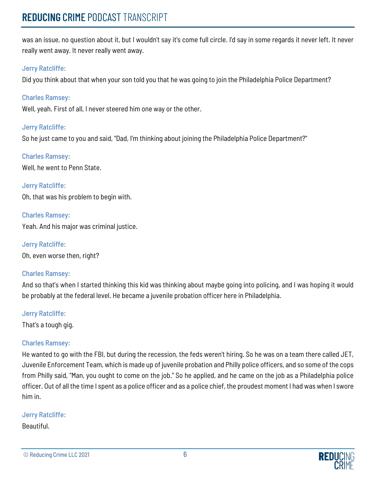was an issue, no question about it, but I wouldn't say it's come full circle. I'd say in some regards it never left. It never really went away. It never really went away.

# Jerry Ratcliffe:

Did you think about that when your son told you that he was going to join the Philadelphia Police Department?

# Charles Ramsey:

Well, yeah. First of all, I never steered him one way or the other.

# Jerry Ratcliffe:

So he just came to you and said, "Dad, I'm thinking about joining the Philadelphia Police Department?"

# Charles Ramsey:

Well, he went to Penn State.

Jerry Ratcliffe: Oh, that was his problem to begin with.

Charles Ramsey: Yeah. And his major was criminal justice.

Jerry Ratcliffe: Oh, even worse then, right?

# Charles Ramsey:

And so that's when I started thinking this kid was thinking about maybe going into policing, and I was hoping it would be probably at the federal level. He became a juvenile probation officer here in Philadelphia.

# Jerry Ratcliffe:

That's a tough gig.

# Charles Ramsey:

He wanted to go with the FBI, but during the recession, the feds weren't hiring. So he was on a team there called JET, Juvenile Enforcement Team, which is made up of juvenile probation and Philly police officers, and so some of the cops from Philly said, "Man, you ought to come on the job." So he applied, and he came on the job as a Philadelphia police officer. Out of all the time I spent as a police officer and as a police chief, the proudest moment I had was when I swore him in.

# Jerry Ratcliffe:

# Beautiful.

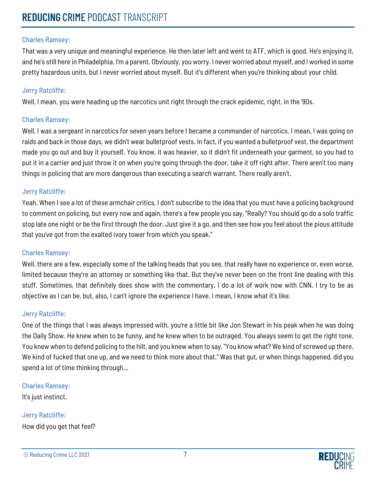That was a very unique and meaningful experience. He then later left and went to ATF, which is good. He's enjoying it, and he's still here in Philadelphia. I'm a parent. Obviously, you worry. I never worried about myself, and I worked in some pretty hazardous units, but I never worried about myself. But it's different when you're thinking about your child.

## Jerry Ratcliffe:

Well, I mean, you were heading up the narcotics unit right through the crack epidemic, right, in the '90s.

## Charles Ramsey:

Well, I was a sergeant in narcotics for seven years before I became a commander of narcotics. I mean, I was going on raids and back in those days, we didn't wear bulletproof vests. In fact, if you wanted a bulletproof vest, the department made you go out and buy it yourself. You know, it was heavier, so it didn't fit underneath your garment, so you had to put it in a carrier and just throw it on when you're going through the door, take it off right after. There aren't too many things in policing that are more dangerous than executing a search warrant. There really aren't.

## Jerry Ratcliffe:

Yeah. When I see a lot of these armchair critics, I don't subscribe to the idea that you must have a policing background to comment on policing, but every now and again, there's a few people you say, "Really? You should go do a solo traffic stop late one night or be the first through the door. Just give it a go, and then see how you feel about the pious attitude that you've got from the exalted ivory tower from which you speak."

#### Charles Ramsey:

Well, there are a few, especially some of the talking heads that you see, that really have no experience or, even worse, limited because they're an attorney or something like that. But they've never been on the front line dealing with this stuff. Sometimes, that definitely does show with the commentary. I do a lot of work now with CNN. I try to be as objective as I can be, but, also, I can't ignore the experience I have. I mean, I know what it's like.

# Jerry Ratcliffe:

One of the things that I was always impressed with, you're a little bit like Jon Stewart in his peak when he was doing the Daily Show. He knew when to be funny, and he knew when to be outraged. You always seem to get the right tone. You knew when to defend policing to the hilt, and you knew when to say, "You know what? We kind of screwed up there. We kind of fucked that one up, and we need to think more about that." Was that gut, or when things happened, did you spend a lot of time thinking through...

#### Charles Ramsey:

It's just instinct.

Jerry Ratcliffe: How did you get that feel?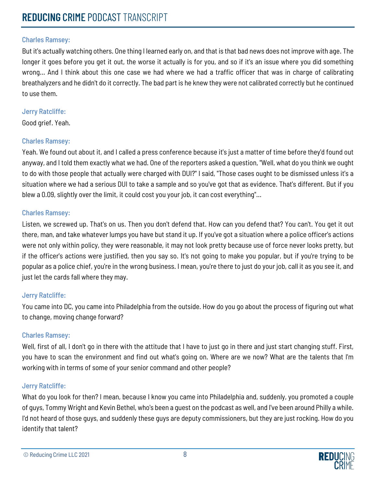But it's actually watching others. One thing I learned early on, and that is that bad news does not improve with age. The longer it goes before you get it out, the worse it actually is for you, and so if it's an issue where you did something wrong... And I think about this one case we had where we had a traffic officer that was in charge of calibrating breathalyzers and he didn't do it correctly. The bad part is he knew they were not calibrated correctly but he continued to use them.

#### Jerry Ratcliffe:

Good grief. Yeah.

# Charles Ramsey:

Yeah. We found out about it, and I called a press conference because it's just a matter of time before they'd found out anyway, and I told them exactly what we had. One of the reporters asked a question, "Well, what do you think we ought to do with those people that actually were charged with DUI?" I said, "Those cases ought to be dismissed unless it's a situation where we had a serious DUI to take a sample and so you've got that as evidence. That's different. But if you blew a 0.09, slightly over the limit, it could cost you your job, it can cost everything"...

## Charles Ramsey:

Listen, we screwed up. That's on us. Then you don't defend that. How can you defend that? You can't. You get it out there, man, and take whatever lumps you have but stand it up. If you've got a situation where a police officer's actions were not only within policy, they were reasonable, it may not look pretty because use of force never looks pretty, but if the officer's actions were justified, then you say so. It's not going to make you popular, but if you're trying to be popular as a police chief, you're in the wrong business. I mean, you're there to just do your job, call it as you see it, and just let the cards fall where they may.

# Jerry Ratcliffe:

You came into DC, you came into Philadelphia from the outside. How do you go about the process of figuring out what to change, moving change forward?

# Charles Ramsey:

Well, first of all, I don't go in there with the attitude that I have to just go in there and just start changing stuff. First, you have to scan the environment and find out what's going on. Where are we now? What are the talents that I'm working with in terms of some of your senior command and other people?

# Jerry Ratcliffe:

What do you look for then? I mean, because I know you came into Philadelphia and, suddenly, you promoted a couple of guys, Tommy Wright and Kevin Bethel, who's been a guest on the podcast as well, and I've been around Philly a while. I'd not heard of those guys, and suddenly these guys are deputy commissioners, but they are just rocking. How do you identify that talent?

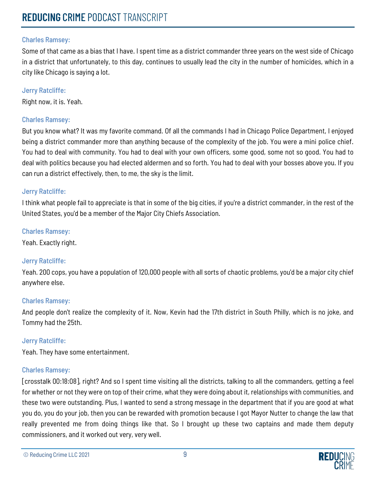Some of that came as a bias that I have. I spent time as a district commander three years on the west side of Chicago in a district that unfortunately, to this day, continues to usually lead the city in the number of homicides, which in a city like Chicago is saying a lot.

#### Jerry Ratcliffe:

Right now, it is. Yeah.

## Charles Ramsey:

But you know what? It was my favorite command. Of all the commands I had in Chicago Police Department, I enjoyed being a district commander more than anything because of the complexity of the job. You were a mini police chief. You had to deal with community. You had to deal with your own officers, some good, some not so good. You had to deal with politics because you had elected aldermen and so forth. You had to deal with your bosses above you. If you can run a district effectively, then, to me, the sky is the limit.

## Jerry Ratcliffe:

I think what people fail to appreciate is that in some of the big cities, if you're a district commander, in the rest of the United States, you'd be a member of the Major City Chiefs Association.

## Charles Ramsey:

Yeah. Exactly right.

# Jerry Ratcliffe:

Yeah. 200 cops, you have a population of 120,000 people with all sorts of chaotic problems, you'd be a major city chief anywhere else.

# Charles Ramsey:

And people don't realize the complexity of it. Now, Kevin had the 17th district in South Philly, which is no joke, and Tommy had the 25th.

#### Jerry Ratcliffe:

Yeah. They have some entertainment.

# Charles Ramsey:

[crosstalk 00:18:08], right? And so I spent time visiting all the districts, talking to all the commanders, getting a feel for whether or not they were on top of their crime, what they were doing about it, relationships with communities, and these two were outstanding. Plus, I wanted to send a strong message in the department that if you are good at what you do, you do your job, then you can be rewarded with promotion because I got Mayor Nutter to change the law that really prevented me from doing things like that. So I brought up these two captains and made them deputy commissioners, and it worked out very, very well.

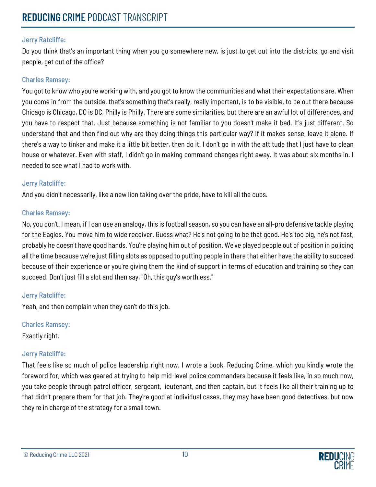Do you think that's an important thing when you go somewhere new, is just to get out into the districts, go and visit people, get out of the office?

## Charles Ramsey:

You got to know who you're working with, and you got to know the communities and what their expectations are. When you come in from the outside, that's something that's really, really important, is to be visible, to be out there because Chicago is Chicago, DC is DC, Philly is Philly. There are some similarities, but there are an awful lot of differences, and you have to respect that. Just because something is not familiar to you doesn't make it bad. It's just different. So understand that and then find out why are they doing things this particular way? If it makes sense, leave it alone. If there's a way to tinker and make it a little bit better, then do it. I don't go in with the attitude that I just have to clean house or whatever. Even with staff, I didn't go in making command changes right away. It was about six months in. I needed to see what I had to work with.

## Jerry Ratcliffe:

And you didn't necessarily, like a new lion taking over the pride, have to kill all the cubs.

## Charles Ramsey:

No, you don't. I mean, if I can use an analogy, this is football season, so you can have an all-pro defensive tackle playing for the Eagles. You move him to wide receiver. Guess what? He's not going to be that good. He's too big, he's not fast, probably he doesn't have good hands. You're playing him out of position. We've played people out of position in policing all the time because we're just filling slots as opposed to putting people in there that either have the ability to succeed because of their experience or you're giving them the kind of support in terms of education and training so they can succeed. Don't just fill a slot and then say, "Oh, this guy's worthless."

#### Jerry Ratcliffe:

Yeah, and then complain when they can't do this job.

Charles Ramsey:

Exactly right.

# Jerry Ratcliffe:

That feels like so much of police leadership right now. I wrote a book, Reducing Crime, which you kindly wrote the foreword for, which was geared at trying to help mid-level police commanders because it feels like, in so much now, you take people through patrol officer, sergeant, lieutenant, and then captain, but it feels like all their training up to that didn't prepare them for that job. They're good at individual cases, they may have been good detectives, but now they're in charge of the strategy for a small town.

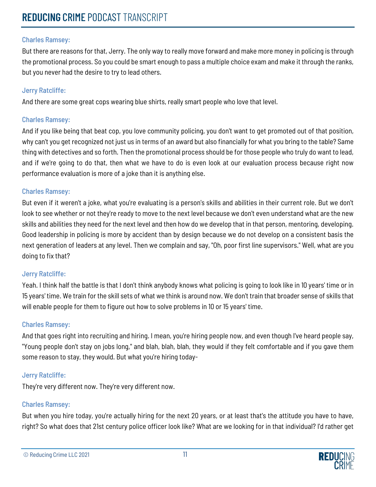But there are reasons for that, Jerry. The only way to really move forward and make more money in policing is through the promotional process. So you could be smart enough to pass a multiple choice exam and make it through the ranks, but you never had the desire to try to lead others.

## Jerry Ratcliffe:

And there are some great cops wearing blue shirts, really smart people who love that level.

## Charles Ramsey:

And if you like being that beat cop, you love community policing, you don't want to get promoted out of that position, why can't you get recognized not just us in terms of an award but also financially for what you bring to the table? Same thing with detectives and so forth. Then the promotional process should be for those people who truly do want to lead, and if we're going to do that, then what we have to do is even look at our evaluation process because right now performance evaluation is more of a joke than it is anything else.

## Charles Ramsey:

But even if it weren't a joke, what you're evaluating is a person's skills and abilities in their current role. But we don't look to see whether or not they're ready to move to the next level because we don't even understand what are the new skills and abilities they need for the next level and then how do we develop that in that person, mentoring, developing. Good leadership in policing is more by accident than by design because we do not develop on a consistent basis the next generation of leaders at any level. Then we complain and say, "Oh, poor first line supervisors." Well, what are you doing to fix that?

# Jerry Ratcliffe:

Yeah. I think half the battle is that I don't think anybody knows what policing is going to look like in 10 years' time or in 15 years' time. We train for the skill sets of what we think is around now. We don't train that broader sense of skills that will enable people for them to figure out how to solve problems in 10 or 15 years' time.

#### Charles Ramsey:

And that goes right into recruiting and hiring. I mean, you're hiring people now, and even though I've heard people say, "Young people don't stay on jobs long," and blah, blah, blah, they would if they felt comfortable and if you gave them some reason to stay, they would. But what you're hiring today-

# Jerry Ratcliffe:

They're very different now. They're very different now.

# Charles Ramsey:

But when you hire today, you're actually hiring for the next 20 years, or at least that's the attitude you have to have, right? So what does that 21st century police officer look like? What are we looking for in that individual? I'd rather get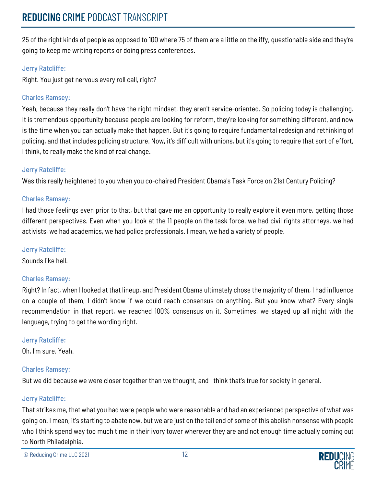25 of the right kinds of people as opposed to 100 where 75 of them are a little on the iffy, questionable side and they're going to keep me writing reports or doing press conferences.

# Jerry Ratcliffe:

Right. You just get nervous every roll call, right?

## Charles Ramsey:

Yeah, because they really don't have the right mindset, they aren't service-oriented. So policing today is challenging. It is tremendous opportunity because people are looking for reform, they're looking for something different, and now is the time when you can actually make that happen. But it's going to require fundamental redesign and rethinking of policing, and that includes policing structure. Now, it's difficult with unions, but it's going to require that sort of effort, I think, to really make the kind of real change.

# Jerry Ratcliffe:

Was this really heightened to you when you co-chaired President Obama's Task Force on 21st Century Policing?

## Charles Ramsey:

I had those feelings even prior to that, but that gave me an opportunity to really explore it even more, getting those different perspectives. Even when you look at the 11 people on the task force, we had civil rights attorneys, we had activists, we had academics, we had police professionals. I mean, we had a variety of people.

#### Jerry Ratcliffe:

Sounds like hell.

# Charles Ramsey:

Right? In fact, when I looked at that lineup, and President Obama ultimately chose the majority of them, I had influence on a couple of them, I didn't know if we could reach consensus on anything. But you know what? Every single recommendation in that report, we reached 100% consensus on it. Sometimes, we stayed up all night with the language, trying to get the wording right.

#### Jerry Ratcliffe:

Oh, I'm sure. Yeah.

# Charles Ramsey:

But we did because we were closer together than we thought, and I think that's true for society in general.

#### Jerry Ratcliffe:

That strikes me, that what you had were people who were reasonable and had an experienced perspective of what was going on. I mean, it's starting to abate now, but we are just on the tail end of some of this abolish nonsense with people who I think spend way too much time in their ivory tower wherever they are and not enough time actually coming out to North Philadelphia.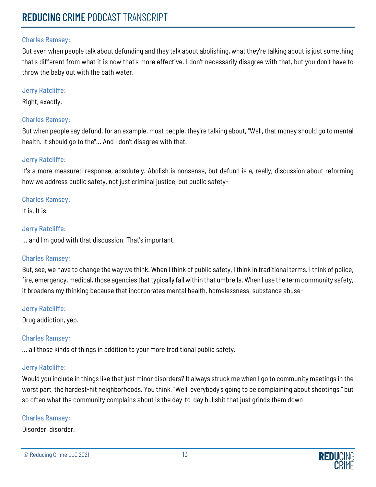#### Charles Ramsey:

But even when people talk about defunding and they talk about abolishing, what they're talking about is just something that's different from what it is now that's more effective. I don't necessarily disagree with that, but you don't have to throw the baby out with the bath water.

## Jerry Ratcliffe:

Right, exactly.

## Charles Ramsey:

But when people say defund, for an example, most people, they're talking about, "Well, that money should go to mental health. It should go to the"... And I don't disagree with that.

# Jerry Ratcliffe:

It's a more measured response, absolutely. Abolish is nonsense, but defund is a, really, discussion about reforming how we address public safety, not just criminal justice, but public safety-

## Charles Ramsey:

It is. It is.

## Jerry Ratcliffe:

... and I'm good with that discussion. That's important.

# Charles Ramsey:

But, see, we have to change the way we think. When I think of public safety, I think in traditional terms. I think of police, fire, emergency, medical, those agencies that typically fall within that umbrella. When I use the term community safety, it broadens my thinking because that incorporates mental health, homelessness, substance abuse-

#### Jerry Ratcliffe:

Drug addiction, yep.

# Charles Ramsey:

... all those kinds of things in addition to your more traditional public safety.

# Jerry Ratcliffe:

Would you include in things like that just minor disorders? It always struck me when I go to community meetings in the worst part, the hardest-hit neighborhoods. You think, "Well, everybody's going to be complaining about shootings," but so often what the community complains about is the day-to-day bullshit that just grinds them down-

#### Charles Ramsey:

Disorder, disorder.

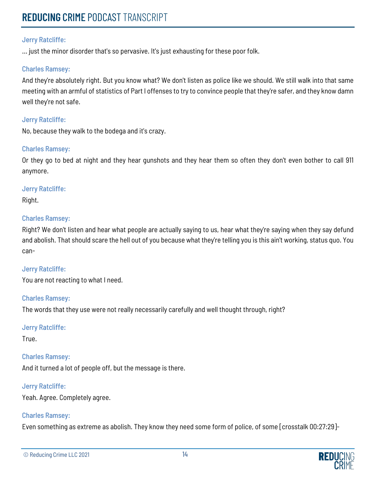... just the minor disorder that's so pervasive. It's just exhausting for these poor folk.

#### Charles Ramsey:

And they're absolutely right. But you know what? We don't listen as police like we should. We still walk into that same meeting with an armful of statistics of Part I offenses to try to convince people that they're safer, and they know damn well they're not safe.

#### Jerry Ratcliffe:

No, because they walk to the bodega and it's crazy.

#### Charles Ramsey:

Or they go to bed at night and they hear gunshots and they hear them so often they don't even bother to call 911 anymore.

#### Jerry Ratcliffe:

Right.

#### Charles Ramsey:

Right? We don't listen and hear what people are actually saying to us, hear what they're saying when they say defund and abolish. That should scare the hell out of you because what they're telling you is this ain't working, status quo. You can-

#### Jerry Ratcliffe:

You are not reacting to what I need.

#### Charles Ramsey:

The words that they use were not really necessarily carefully and well thought through, right?

#### Jerry Ratcliffe:

True.

#### Charles Ramsey:

And it turned a lot of people off, but the message is there.

#### Jerry Ratcliffe:

Yeah. Agree. Completely agree.

#### Charles Ramsey:

Even something as extreme as abolish. They know they need some form of police, of some [crosstalk 00:27:29]-

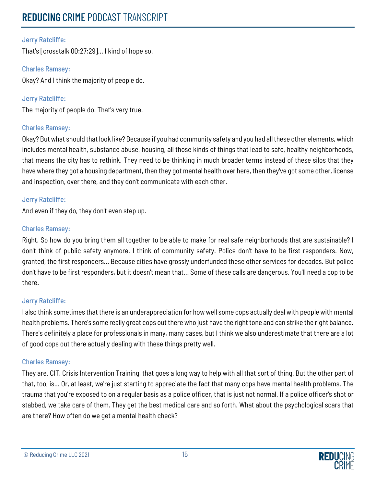# Jerry Ratcliffe:

That's [crosstalk 00:27:29]... I kind of hope so.

Charles Ramsey: Okay? And I think the majority of people do.

Jerry Ratcliffe: The majority of people do. That's very true.

## Charles Ramsey:

Okay? But what should that look like? Because if you had community safety and you had all these other elements, which includes mental health, substance abuse, housing, all those kinds of things that lead to safe, healthy neighborhoods, that means the city has to rethink. They need to be thinking in much broader terms instead of these silos that they have where they got a housing department, then they got mental health over here, then they've got some other, license and inspection, over there, and they don't communicate with each other.

## Jerry Ratcliffe:

And even if they do, they don't even step up.

## Charles Ramsey:

Right. So how do you bring them all together to be able to make for real safe neighborhoods that are sustainable? I don't think of public safety anymore. I think of community safety. Police don't have to be first responders. Now, granted, the first responders... Because cities have grossly underfunded these other services for decades. But police don't have to be first responders, but it doesn't mean that... Some of these calls are dangerous. You'll need a cop to be there.

# Jerry Ratcliffe:

I also think sometimes that there is an underappreciation for how well some cops actually deal with people with mental health problems. There's some really great cops out there who just have the right tone and can strike the right balance. There's definitely a place for professionals in many, many cases, but I think we also underestimate that there are a lot of good cops out there actually dealing with these things pretty well.

#### Charles Ramsey:

They are. CIT, Crisis Intervention Training, that goes a long way to help with all that sort of thing. But the other part of that, too, is... Or, at least, we're just starting to appreciate the fact that many cops have mental health problems. The trauma that you're exposed to on a regular basis as a police officer, that is just not normal. If a police officer's shot or stabbed, we take care of them. They get the best medical care and so forth. What about the psychological scars that are there? How often do we get a mental health check?

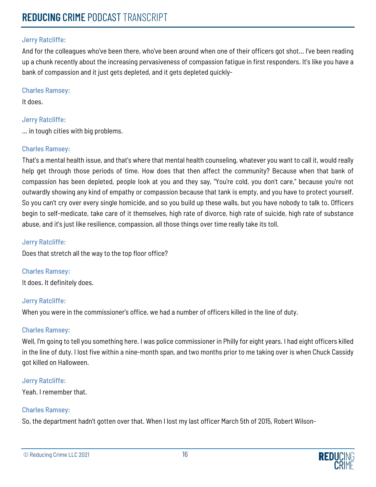And for the colleagues who've been there, who've been around when one of their officers got shot... I've been reading up a chunk recently about the increasing pervasiveness of compassion fatigue in first responders. It's like you have a bank of compassion and it just gets depleted, and it gets depleted quickly-

#### Charles Ramsey:

It does.

## Jerry Ratcliffe:

... in tough cities with big problems.

## Charles Ramsey:

That's a mental health issue, and that's where that mental health counseling, whatever you want to call it, would really help get through those periods of time. How does that then affect the community? Because when that bank of compassion has been depleted, people look at you and they say, "You're cold, you don't care," because you're not outwardly showing any kind of empathy or compassion because that tank is empty, and you have to protect yourself. So you can't cry over every single homicide, and so you build up these walls, but you have nobody to talk to. Officers begin to self-medicate, take care of it themselves, high rate of divorce, high rate of suicide, high rate of substance abuse, and it's just like resilience, compassion, all those things over time really take its toll.

## Jerry Ratcliffe:

Does that stretch all the way to the top floor office?

Charles Ramsey: It does. It definitely does.

# Jerry Ratcliffe:

When you were in the commissioner's office, we had a number of officers killed in the line of duty.

# Charles Ramsey:

Well, I'm going to tell you something here. I was police commissioner in Philly for eight years. I had eight officers killed in the line of duty. I lost five within a nine-month span, and two months prior to me taking over is when Chuck Cassidy got killed on Halloween.

#### Jerry Ratcliffe:

Yeah. I remember that.

# Charles Ramsey:

So, the department hadn't gotten over that. When I lost my last officer March 5th of 2015, Robert Wilson-

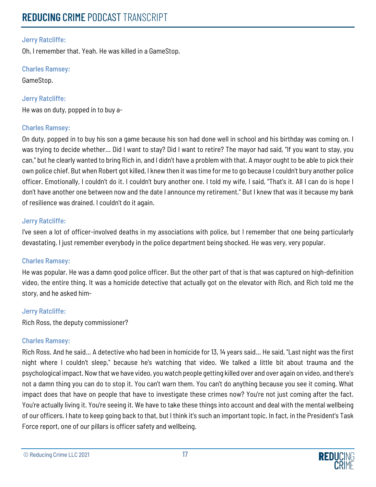Oh, I remember that. Yeah. He was killed in a GameStop.

Charles Ramsey:

GameStop.

Jerry Ratcliffe:

He was on duty, popped in to buy a-

# Charles Ramsey:

On duty, popped in to buy his son a game because his son had done well in school and his birthday was coming on. I was trying to decide whether... Did I want to stay? Did I want to retire? The mayor had said, "If you want to stay, you can," but he clearly wanted to bring Rich in, and I didn't have a problem with that. A mayor ought to be able to pick their own police chief. But when Robert got killed, I knew then it was time for me to go because I couldn't bury another police officer. Emotionally, I couldn't do it. I couldn't bury another one. I told my wife, I said, "That's it. All I can do is hope I don't have another one between now and the date I announce my retirement." But I knew that was it because my bank of resilience was drained. I couldn't do it again.

## Jerry Ratcliffe:

I've seen a lot of officer-involved deaths in my associations with police, but I remember that one being particularly devastating. I just remember everybody in the police department being shocked. He was very, very popular.

# Charles Ramsey:

He was popular. He was a damn good police officer. But the other part of that is that was captured on high-definition video, the entire thing. It was a homicide detective that actually got on the elevator with Rich, and Rich told me the story, and he asked him-

# Jerry Ratcliffe:

Rich Ross, the deputy commissioner?

#### Charles Ramsey:

Rich Ross. And he said... A detective who had been in homicide for 13, 14 years said... He said, "Last night was the first night where I couldn't sleep," because he's watching that video. We talked a little bit about trauma and the psychological impact. Now that we have video, you watch people getting killed over and over again on video, and there's not a damn thing you can do to stop it. You can't warn them. You can't do anything because you see it coming. What impact does that have on people that have to investigate these crimes now? You're not just coming after the fact. You're actually living it. You're seeing it. We have to take these things into account and deal with the mental wellbeing of our officers. I hate to keep going back to that, but I think it's such an important topic. In fact, in the President's Task Force report, one of our pillars is officer safety and wellbeing.

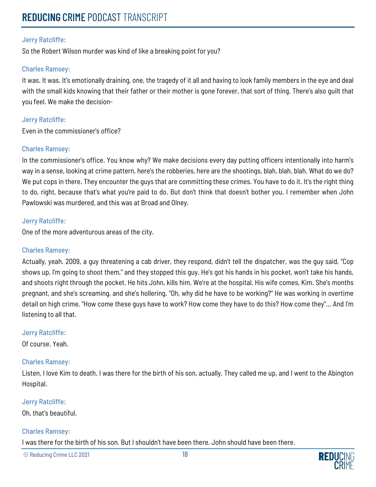So the Robert Wilson murder was kind of like a breaking point for you?

#### Charles Ramsey:

It was. It was. It's emotionally draining, one, the tragedy of it all and having to look family members in the eye and deal with the small kids knowing that their father or their mother is gone forever, that sort of thing. There's also guilt that you feel. We make the decision-

#### Jerry Ratcliffe:

Even in the commissioner's office?

#### Charles Ramsey:

In the commissioner's office. You know why? We make decisions every day putting officers intentionally into harm's way in a sense, looking at crime pattern, here's the robberies, here are the shootings, blah, blah, blah. What do we do? We put cops in there. They encounter the guys that are committing these crimes. You have to do it. It's the right thing to do, right, because that's what you're paid to do. But don't think that doesn't bother you. I remember when John Pawlowski was murdered, and this was at Broad and Olney.

#### Jerry Ratcliffe:

One of the more adventurous areas of the city.

#### Charles Ramsey:

Actually, yeah. 2009, a guy threatening a cab driver, they respond, didn't tell the dispatcher, was the guy said, "Cop shows up, I'm going to shoot them," and they stopped this guy. He's got his hands in his pocket, won't take his hands, and shoots right through the pocket. He hits John, kills him. We're at the hospital. His wife comes, Kim. She's months pregnant, and she's screaming, and she's hollering. "Oh, why did he have to be working?" He was working in overtime detail on high crime. "How come these guys have to work? How come they have to do this? How come they"... And I'm listening to all that.

#### Jerry Ratcliffe:

Of course. Yeah.

#### Charles Ramsey:

Listen, I love Kim to death. I was there for the birth of his son, actually. They called me up, and I went to the Abington Hospital.

#### Jerry Ratcliffe:

Oh, that's beautiful.

#### Charles Ramsey:

I was there for the birth of his son. But I shouldn't have been there. John should have been there.

© Reducing Crime LLC 2021 18

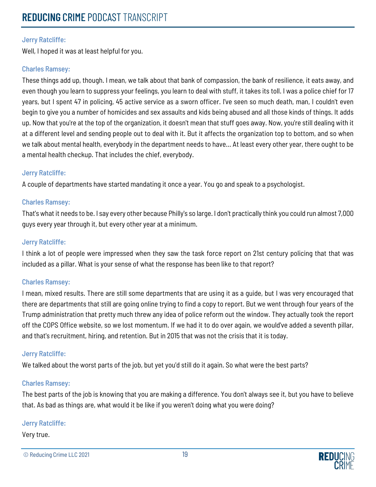Well, I hoped it was at least helpful for you.

#### Charles Ramsey:

These things add up, though. I mean, we talk about that bank of compassion, the bank of resilience, it eats away, and even though you learn to suppress your feelings, you learn to deal with stuff, it takes its toll. I was a police chief for 17 years, but I spent 47 in policing, 45 active service as a sworn officer. I've seen so much death, man, I couldn't even begin to give you a number of homicides and sex assaults and kids being abused and all those kinds of things. It adds up. Now that you're at the top of the organization, it doesn't mean that stuff goes away. Now, you're still dealing with it at a different level and sending people out to deal with it. But it affects the organization top to bottom, and so when we talk about mental health, everybody in the department needs to have... At least every other year, there ought to be a mental health checkup. That includes the chief, everybody.

## Jerry Ratcliffe:

A couple of departments have started mandating it once a year. You go and speak to a psychologist.

## Charles Ramsey:

That's what it needs to be. I say every other because Philly's so large. I don't practically think you could run almost 7,000 guys every year through it, but every other year at a minimum.

#### Jerry Ratcliffe:

I think a lot of people were impressed when they saw the task force report on 21st century policing that that was included as a pillar. What is your sense of what the response has been like to that report?

#### Charles Ramsey:

I mean, mixed results. There are still some departments that are using it as a guide, but I was very encouraged that there are departments that still are going online trying to find a copy to report. But we went through four years of the Trump administration that pretty much threw any idea of police reform out the window. They actually took the report off the COPS Office website, so we lost momentum. If we had it to do over again, we would've added a seventh pillar, and that's recruitment, hiring, and retention. But in 2015 that was not the crisis that it is today.

# Jerry Ratcliffe:

We talked about the worst parts of the job, but yet you'd still do it again. So what were the best parts?

#### Charles Ramsey:

The best parts of the job is knowing that you are making a difference. You don't always see it, but you have to believe that. As bad as things are, what would it be like if you weren't doing what you were doing?

# Jerry Ratcliffe:

Very true.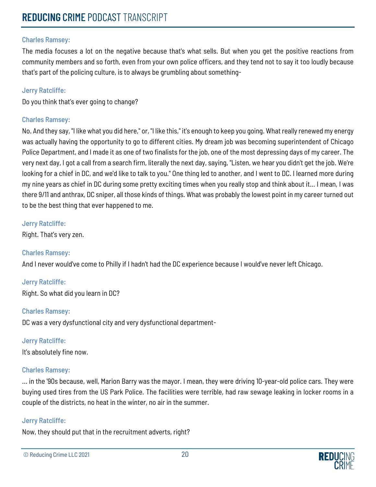The media focuses a lot on the negative because that's what sells. But when you get the positive reactions from community members and so forth, even from your own police officers, and they tend not to say it too loudly because that's part of the policing culture, is to always be grumbling about something-

## Jerry Ratcliffe:

Do you think that's ever going to change?

## Charles Ramsey:

No. And they say, "I like what you did here," or, "I like this," it's enough to keep you going. What really renewed my energy was actually having the opportunity to go to different cities. My dream job was becoming superintendent of Chicago Police Department, and I made it as one of two finalists for the job, one of the most depressing days of my career. The very next day, I got a call from a search firm, literally the next day, saying, "Listen, we hear you didn't get the job. We're looking for a chief in DC, and we'd like to talk to you." One thing led to another, and I went to DC. I learned more during my nine years as chief in DC during some pretty exciting times when you really stop and think about it... I mean, I was there 9/11 and anthrax, DC sniper, all those kinds of things. What was probably the lowest point in my career turned out to be the best thing that ever happened to me.

#### Jerry Ratcliffe:

Right. That's very zen.

#### Charles Ramsey:

And I never would've come to Philly if I hadn't had the DC experience because I would've never left Chicago.

#### Jerry Ratcliffe:

Right. So what did you learn in DC?

#### Charles Ramsey:

DC was a very dysfunctional city and very dysfunctional department-

#### Jerry Ratcliffe:

It's absolutely fine now.

# Charles Ramsey:

... in the '90s because, well, Marion Barry was the mayor. I mean, they were driving 10-year-old police cars. They were buying used tires from the US Park Police. The facilities were terrible, had raw sewage leaking in locker rooms in a couple of the districts, no heat in the winter, no air in the summer.

#### Jerry Ratcliffe:

Now, they should put that in the recruitment adverts, right?

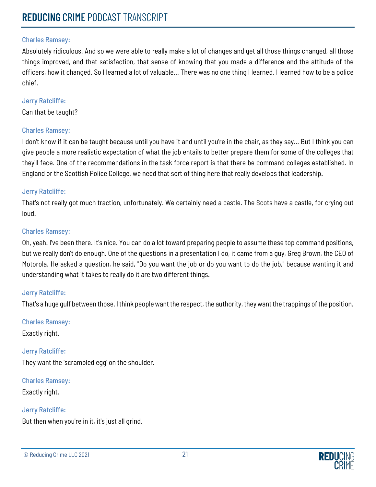Absolutely ridiculous. And so we were able to really make a lot of changes and get all those things changed, all those things improved, and that satisfaction, that sense of knowing that you made a difference and the attitude of the officers, how it changed. So I learned a lot of valuable... There was no one thing I learned. I learned how to be a police chief.

#### Jerry Ratcliffe:

Can that be taught?

## Charles Ramsey:

I don't know if it can be taught because until you have it and until you're in the chair, as they say... But I think you can give people a more realistic expectation of what the job entails to better prepare them for some of the colleges that they'll face. One of the recommendations in the task force report is that there be command colleges established. In England or the Scottish Police College, we need that sort of thing here that really develops that leadership.

## Jerry Ratcliffe:

That's not really got much traction, unfortunately. We certainly need a castle. The Scots have a castle, for crying out loud.

#### Charles Ramsey:

Oh, yeah. I've been there. It's nice. You can do a lot toward preparing people to assume these top command positions, but we really don't do enough. One of the questions in a presentation I do, it came from a guy, Greg Brown, the CEO of Motorola. He asked a question, he said, "Do you want the job or do you want to do the job," because wanting it and understanding what it takes to really do it are two different things.

# Jerry Ratcliffe:

That's a huge gulf between those. I think people want the respect, the authority, they want the trappings of the position.

Charles Ramsey:

Exactly right.

# Jerry Ratcliffe:

They want the 'scrambled egg' on the shoulder.

Charles Ramsey:

Exactly right.

# Jerry Ratcliffe:

But then when you're in it, it's just all grind.

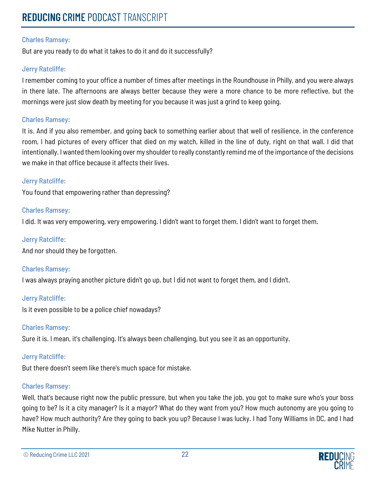But are you ready to do what it takes to do it and do it successfully?

#### Jerry Ratcliffe:

I remember coming to your office a number of times after meetings in the Roundhouse in Philly, and you were always in there late. The afternoons are always better because they were a more chance to be more reflective, but the mornings were just slow death by meeting for you because it was just a grind to keep going.

## Charles Ramsey:

It is. And if you also remember, and going back to something earlier about that well of resilience, in the conference room, I had pictures of every officer that died on my watch, killed in the line of duty, right on that wall. I did that intentionally. I wanted them looking over my shoulder to really constantly remind me of the importance of the decisions we make in that office because it affects their lives.

## Jerry Ratcliffe:

You found that empowering rather than depressing?

## Charles Ramsey:

I did. It was very empowering, very empowering. I didn't want to forget them. I didn't want to forget them.

## Jerry Ratcliffe:

And nor should they be forgotten.

#### Charles Ramsey:

I was always praying another picture didn't go up, but I did not want to forget them, and I didn't.

#### Jerry Ratcliffe:

Is it even possible to be a police chief nowadays?

#### Charles Ramsey:

Sure it is. I mean, it's challenging. It's always been challenging, but you see it as an opportunity.

# Jerry Ratcliffe:

But there doesn't seem like there's much space for mistake.

#### Charles Ramsey:

Well, that's because right now the public pressure, but when you take the job, you got to make sure who's your boss going to be? Is it a city manager? Is it a mayor? What do they want from you? How much autonomy are you going to have? How much authority? Are they going to back you up? Because I was lucky. I had Tony Williams in DC, and I had Mike Nutter in Philly.

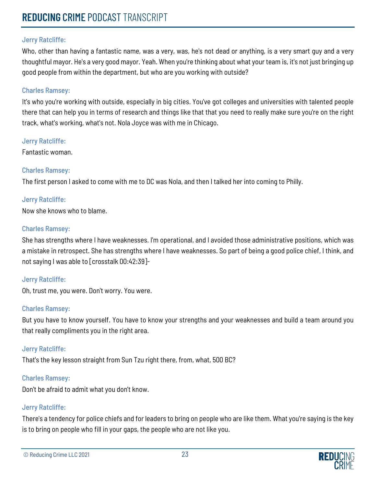Who, other than having a fantastic name, was a very, was, he's not dead or anything, is a very smart guy and a very thoughtful mayor. He's a very good mayor. Yeah. When you're thinking about what your team is, it's not just bringing up good people from within the department, but who are you working with outside?

#### Charles Ramsey:

It's who you're working with outside, especially in big cities. You've got colleges and universities with talented people there that can help you in terms of research and things like that that you need to really make sure you're on the right track, what's working, what's not. Nola Joyce was with me in Chicago.

Jerry Ratcliffe:

Fantastic woman.

#### Charles Ramsey:

The first person I asked to come with me to DC was Nola, and then I talked her into coming to Philly.

## Jerry Ratcliffe:

Now she knows who to blame.

#### Charles Ramsey:

She has strengths where I have weaknesses. I'm operational, and I avoided those administrative positions, which was a mistake in retrospect. She has strengths where I have weaknesses. So part of being a good police chief, I think, and not saying I was able to [crosstalk 00:42:39]-

#### Jerry Ratcliffe:

Oh, trust me, you were. Don't worry. You were.

#### Charles Ramsey:

But you have to know yourself. You have to know your strengths and your weaknesses and build a team around you that really compliments you in the right area.

#### Jerry Ratcliffe:

That's the key lesson straight from Sun Tzu right there, from, what, 500 BC?

#### Charles Ramsey:

Don't be afraid to admit what you don't know.

# Jerry Ratcliffe:

There's a tendency for police chiefs and for leaders to bring on people who are like them. What you're saying is the key is to bring on people who fill in your gaps, the people who are not like you.

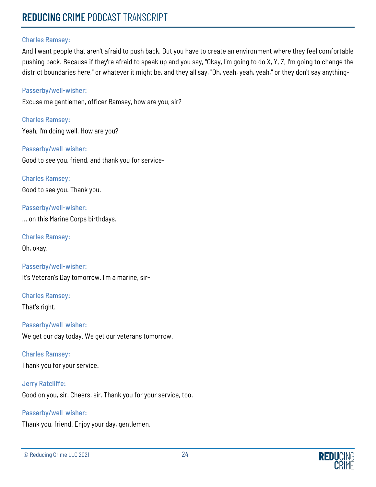#### Charles Ramsey:

And I want people that aren't afraid to push back. But you have to create an environment where they feel comfortable pushing back. Because if they're afraid to speak up and you say, "Okay, I'm going to do X, Y, Z, I'm going to change the district boundaries here," or whatever it might be, and they all say, "Oh, yeah, yeah, yeah," or they don't say anything-

#### Passerby/well-wisher:

Excuse me gentlemen, officer Ramsey, how are you, sir?

Charles Ramsey: Yeah, I'm doing well. How are you?

Passerby/well-wisher: Good to see you, friend, and thank you for service-

Charles Ramsey: Good to see you. Thank you.

Passerby/well-wisher: ... on this Marine Corps birthdays.

Charles Ramsey:

Oh, okay.

Passerby/well-wisher: It's Veteran's Day tomorrow. I'm a marine, sir-

Charles Ramsey: That's right.

#### Passerby/well-wisher:

We get our day today. We get our veterans tomorrow.

# Charles Ramsey:

Thank you for your service.

#### Jerry Ratcliffe:

Good on you, sir. Cheers, sir. Thank you for your service, too.

# Passerby/well-wisher:

Thank you, friend. Enjoy your day, gentlemen.

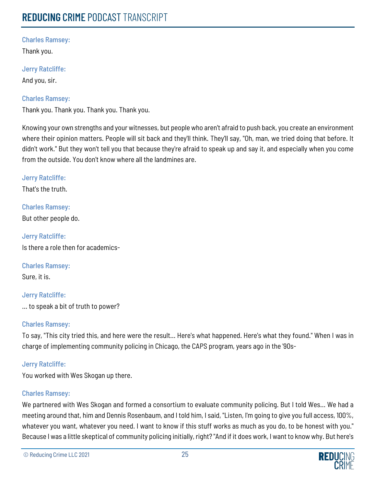Thank you.

Jerry Ratcliffe:

And you, sir.

# Charles Ramsey:

Thank you. Thank you. Thank you. Thank you.

Knowing your own strengths and your witnesses, but people who aren't afraid to push back, you create an environment where their opinion matters. People will sit back and they'll think. They'll say, "Oh, man, we tried doing that before. It didn't work." But they won't tell you that because they're afraid to speak up and say it, and especially when you come from the outside. You don't know where all the landmines are.

Jerry Ratcliffe:

That's the truth.

Charles Ramsey: But other people do.

Jerry Ratcliffe: Is there a role then for academics-

Charles Ramsey: Sure, it is.

Jerry Ratcliffe: ... to speak a bit of truth to power?

# Charles Ramsey:

To say, "This city tried this, and here were the result... Here's what happened. Here's what they found." When I was in charge of implementing community policing in Chicago, the CAPS program, years ago in the '90s-

# Jerry Ratcliffe:

You worked with Wes Skogan up there.

# Charles Ramsey:

We partnered with Wes Skogan and formed a consortium to evaluate community policing. But I told Wes... We had a meeting around that, him and Dennis Rosenbaum, and I told him, I said, "Listen, I'm going to give you full access, 100%, whatever you want, whatever you need. I want to know if this stuff works as much as you do, to be honest with you." Because I was a little skeptical of community policing initially, right? "And if it does work, I want to know why. But here's

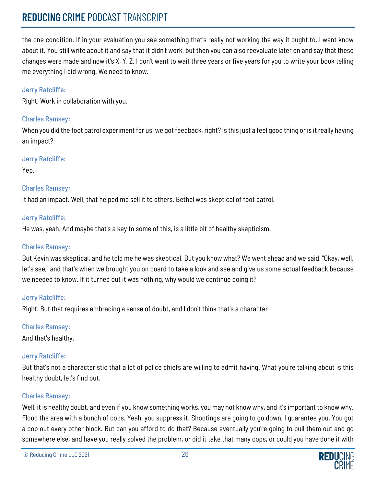the one condition. If in your evaluation you see something that's really not working the way it ought to, I want know about it. You still write about it and say that it didn't work, but then you can also reevaluate later on and say that these changes were made and now it's X, Y, Z. I don't want to wait three years or five years for you to write your book telling me everything I did wrong. We need to know."

## Jerry Ratcliffe:

Right. Work in collaboration with you.

# Charles Ramsey:

When you did the foot patrol experiment for us, we got feedback, right? Is this just a feel good thing or is it really having an impact?

## Jerry Ratcliffe:

Yep.

# Charles Ramsey:

It had an impact. Well, that helped me sell it to others. Bethel was skeptical of foot patrol.

## Jerry Ratcliffe:

He was, yeah. And maybe that's a key to some of this, is a little bit of healthy skepticism.

## Charles Ramsey:

But Kevin was skeptical, and he told me he was skeptical. But you know what? We went ahead and we said, "Okay, well, let's see," and that's when we brought you on board to take a look and see and give us some actual feedback because we needed to know. If it turned out it was nothing, why would we continue doing it?

# Jerry Ratcliffe:

Right. But that requires embracing a sense of doubt, and I don't think that's a character-

# Charles Ramsey:

And that's healthy.

# Jerry Ratcliffe:

But that's not a characteristic that a lot of police chiefs are willing to admit having. What you're talking about is this healthy doubt, let's find out.

# Charles Ramsey:

Well, it is healthy doubt, and even if you know something works, you may not know why, and it's important to know why. Flood the area with a bunch of cops. Yeah, you suppress it. Shootings are going to go down, I guarantee you. You got a cop out every other block. But can you afford to do that? Because eventually you're going to pull them out and go somewhere else, and have you really solved the problem, or did it take that many cops, or could you have done it with